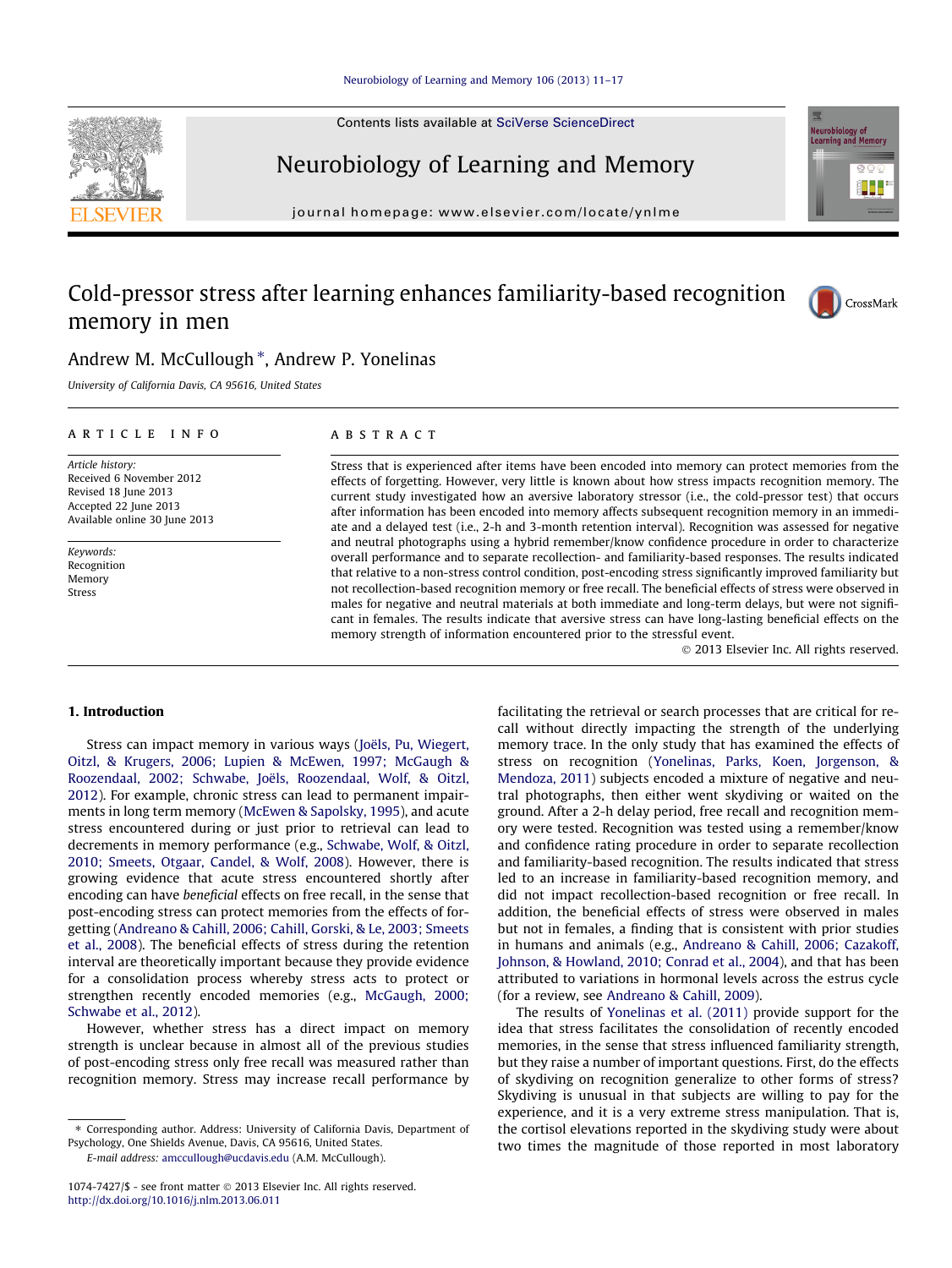Contents lists available at [SciVerse ScienceDirect](http://www.sciencedirect.com/science/journal/10747427)

## Neurobiology of Learning and Memory

## Cold-pressor stress after learning enhances familiarity-based recognition memory in men



Neurobiology of<br>Learning and Memory

### Andrew M. McCullough<sup>\*</sup>, Andrew P. Yonelinas

University of California Davis, CA 95616, United States

### article info

Article history: Received 6 November 2012 Revised 18 June 2013 Accepted 22 June 2013 Available online 30 June 2013

Keywords: Recognition Memory Stress

### **ABSTRACT**

Stress that is experienced after items have been encoded into memory can protect memories from the effects of forgetting. However, very little is known about how stress impacts recognition memory. The current study investigated how an aversive laboratory stressor (i.e., the cold-pressor test) that occurs after information has been encoded into memory affects subsequent recognition memory in an immediate and a delayed test (i.e., 2-h and 3-month retention interval). Recognition was assessed for negative and neutral photographs using a hybrid remember/know confidence procedure in order to characterize overall performance and to separate recollection- and familiarity-based responses. The results indicated that relative to a non-stress control condition, post-encoding stress significantly improved familiarity but not recollection-based recognition memory or free recall. The beneficial effects of stress were observed in males for negative and neutral materials at both immediate and long-term delays, but were not significant in females. The results indicate that aversive stress can have long-lasting beneficial effects on the memory strength of information encountered prior to the stressful event.

- 2013 Elsevier Inc. All rights reserved.

### 1. Introduction

Stress can impact memory in various ways ([Joëls, Pu, Wiegert,](#page--1-0) [Oitzl, & Krugers, 2006; Lupien & McEwen, 1997; McGaugh &](#page--1-0) [Roozendaal, 2002; Schwabe, Joëls, Roozendaal, Wolf, & Oitzl,](#page--1-0) [2012\)](#page--1-0). For example, chronic stress can lead to permanent impairments in long term memory ([McEwen & Sapolsky, 1995](#page--1-0)), and acute stress encountered during or just prior to retrieval can lead to decrements in memory performance (e.g., [Schwabe, Wolf, & Oitzl,](#page--1-0) [2010; Smeets, Otgaar, Candel, & Wolf, 2008](#page--1-0)). However, there is growing evidence that acute stress encountered shortly after encoding can have beneficial effects on free recall, in the sense that post-encoding stress can protect memories from the effects of forgetting [\(Andreano & Cahill, 2006; Cahill, Gorski, & Le, 2003; Smeets](#page--1-0) [et al., 2008](#page--1-0)). The beneficial effects of stress during the retention interval are theoretically important because they provide evidence for a consolidation process whereby stress acts to protect or strengthen recently encoded memories (e.g., [McGaugh, 2000;](#page--1-0) [Schwabe et al., 2012\)](#page--1-0).

However, whether stress has a direct impact on memory strength is unclear because in almost all of the previous studies of post-encoding stress only free recall was measured rather than recognition memory. Stress may increase recall performance by

E-mail address: [amccullough@ucdavis.edu](mailto:amccullough@ucdavis.edu) (A.M. McCullough).

facilitating the retrieval or search processes that are critical for recall without directly impacting the strength of the underlying memory trace. In the only study that has examined the effects of stress on recognition [\(Yonelinas, Parks, Koen, Jorgenson, &](#page--1-0) [Mendoza, 2011\)](#page--1-0) subjects encoded a mixture of negative and neutral photographs, then either went skydiving or waited on the ground. After a 2-h delay period, free recall and recognition memory were tested. Recognition was tested using a remember/know and confidence rating procedure in order to separate recollection and familiarity-based recognition. The results indicated that stress led to an increase in familiarity-based recognition memory, and did not impact recollection-based recognition or free recall. In addition, the beneficial effects of stress were observed in males but not in females, a finding that is consistent with prior studies in humans and animals (e.g., [Andreano & Cahill, 2006; Cazakoff,](#page--1-0) [Johnson, & Howland, 2010; Conrad et al., 2004\)](#page--1-0), and that has been attributed to variations in hormonal levels across the estrus cycle (for a review, see [Andreano & Cahill, 2009](#page--1-0)).

The results of [Yonelinas et al. \(2011\)](#page--1-0) provide support for the idea that stress facilitates the consolidation of recently encoded memories, in the sense that stress influenced familiarity strength, but they raise a number of important questions. First, do the effects of skydiving on recognition generalize to other forms of stress? Skydiving is unusual in that subjects are willing to pay for the experience, and it is a very extreme stress manipulation. That is, the cortisol elevations reported in the skydiving study were about two times the magnitude of those reported in most laboratory

journal homepage: [www.elsevier.com/locate/ynlme](http://www.elsevier.com/locate/ynlme)



<sup>⇑</sup> Corresponding author. Address: University of California Davis, Department of Psychology, One Shields Avenue, Davis, CA 95616, United States.

<sup>1074-7427/\$ -</sup> see front matter © 2013 Elsevier Inc. All rights reserved. <http://dx.doi.org/10.1016/j.nlm.2013.06.011>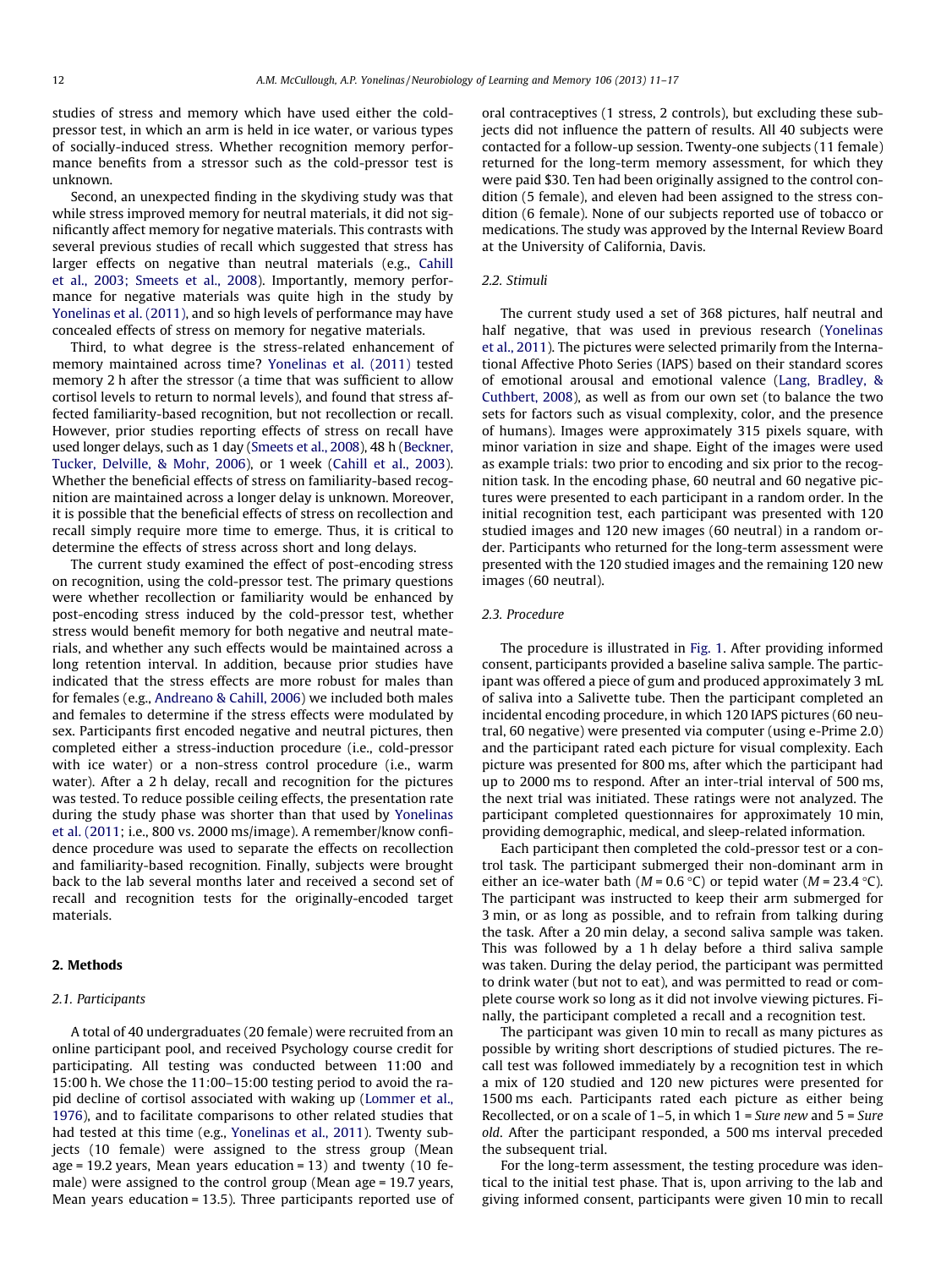studies of stress and memory which have used either the coldpressor test, in which an arm is held in ice water, or various types of socially-induced stress. Whether recognition memory performance benefits from a stressor such as the cold-pressor test is unknown.

Second, an unexpected finding in the skydiving study was that while stress improved memory for neutral materials, it did not significantly affect memory for negative materials. This contrasts with several previous studies of recall which suggested that stress has larger effects on negative than neutral materials (e.g., [Cahill](#page--1-0) [et al., 2003; Smeets et al., 2008](#page--1-0)). Importantly, memory performance for negative materials was quite high in the study by [Yonelinas et al. \(2011\)](#page--1-0), and so high levels of performance may have concealed effects of stress on memory for negative materials.

Third, to what degree is the stress-related enhancement of memory maintained across time? [Yonelinas et al. \(2011\)](#page--1-0) tested memory 2 h after the stressor (a time that was sufficient to allow cortisol levels to return to normal levels), and found that stress affected familiarity-based recognition, but not recollection or recall. However, prior studies reporting effects of stress on recall have used longer delays, such as 1 day [\(Smeets et al., 2008](#page--1-0)), 48 h ([Beckner,](#page--1-0) [Tucker, Delville, & Mohr, 2006\)](#page--1-0), or 1 week [\(Cahill et al., 2003\)](#page--1-0). Whether the beneficial effects of stress on familiarity-based recognition are maintained across a longer delay is unknown. Moreover, it is possible that the beneficial effects of stress on recollection and recall simply require more time to emerge. Thus, it is critical to determine the effects of stress across short and long delays.

The current study examined the effect of post-encoding stress on recognition, using the cold-pressor test. The primary questions were whether recollection or familiarity would be enhanced by post-encoding stress induced by the cold-pressor test, whether stress would benefit memory for both negative and neutral materials, and whether any such effects would be maintained across a long retention interval. In addition, because prior studies have indicated that the stress effects are more robust for males than for females (e.g., [Andreano & Cahill, 2006](#page--1-0)) we included both males and females to determine if the stress effects were modulated by sex. Participants first encoded negative and neutral pictures, then completed either a stress-induction procedure (i.e., cold-pressor with ice water) or a non-stress control procedure (i.e., warm water). After a 2 h delay, recall and recognition for the pictures was tested. To reduce possible ceiling effects, the presentation rate during the study phase was shorter than that used by [Yonelinas](#page--1-0) [et al. \(2011](#page--1-0); i.e., 800 vs. 2000 ms/image). A remember/know confidence procedure was used to separate the effects on recollection and familiarity-based recognition. Finally, subjects were brought back to the lab several months later and received a second set of recall and recognition tests for the originally-encoded target materials.

### 2. Methods

### 2.1. Participants

A total of 40 undergraduates (20 female) were recruited from an online participant pool, and received Psychology course credit for participating. All testing was conducted between 11:00 and 15:00 h. We chose the 11:00–15:00 testing period to avoid the rapid decline of cortisol associated with waking up [\(Lommer et al.,](#page--1-0) [1976\)](#page--1-0), and to facilitate comparisons to other related studies that had tested at this time (e.g., [Yonelinas et al., 2011\)](#page--1-0). Twenty subjects (10 female) were assigned to the stress group (Mean age = 19.2 years, Mean years education = 13) and twenty (10 female) were assigned to the control group (Mean age = 19.7 years, Mean years education = 13.5). Three participants reported use of

oral contraceptives (1 stress, 2 controls), but excluding these subjects did not influence the pattern of results. All 40 subjects were contacted for a follow-up session. Twenty-one subjects (11 female) returned for the long-term memory assessment, for which they were paid \$30. Ten had been originally assigned to the control condition (5 female), and eleven had been assigned to the stress condition (6 female). None of our subjects reported use of tobacco or medications. The study was approved by the Internal Review Board at the University of California, Davis.

### 2.2. Stimuli

The current study used a set of 368 pictures, half neutral and half negative, that was used in previous research [\(Yonelinas](#page--1-0) [et al., 2011](#page--1-0)). The pictures were selected primarily from the International Affective Photo Series (IAPS) based on their standard scores of emotional arousal and emotional valence [\(Lang, Bradley, &](#page--1-0) [Cuthbert, 2008\)](#page--1-0), as well as from our own set (to balance the two sets for factors such as visual complexity, color, and the presence of humans). Images were approximately 315 pixels square, with minor variation in size and shape. Eight of the images were used as example trials: two prior to encoding and six prior to the recognition task. In the encoding phase, 60 neutral and 60 negative pictures were presented to each participant in a random order. In the initial recognition test, each participant was presented with 120 studied images and 120 new images (60 neutral) in a random order. Participants who returned for the long-term assessment were presented with the 120 studied images and the remaining 120 new images (60 neutral).

### 2.3. Procedure

The procedure is illustrated in [Fig. 1.](#page--1-0) After providing informed consent, participants provided a baseline saliva sample. The participant was offered a piece of gum and produced approximately 3 mL of saliva into a Salivette tube. Then the participant completed an incidental encoding procedure, in which 120 IAPS pictures (60 neutral, 60 negative) were presented via computer (using e-Prime 2.0) and the participant rated each picture for visual complexity. Each picture was presented for 800 ms, after which the participant had up to 2000 ms to respond. After an inter-trial interval of 500 ms, the next trial was initiated. These ratings were not analyzed. The participant completed questionnaires for approximately 10 min, providing demographic, medical, and sleep-related information.

Each participant then completed the cold-pressor test or a control task. The participant submerged their non-dominant arm in either an ice-water bath ( $M = 0.6$  °C) or tepid water ( $M = 23.4$  °C). The participant was instructed to keep their arm submerged for 3 min, or as long as possible, and to refrain from talking during the task. After a 20 min delay, a second saliva sample was taken. This was followed by a 1 h delay before a third saliva sample was taken. During the delay period, the participant was permitted to drink water (but not to eat), and was permitted to read or complete course work so long as it did not involve viewing pictures. Finally, the participant completed a recall and a recognition test.

The participant was given 10 min to recall as many pictures as possible by writing short descriptions of studied pictures. The recall test was followed immediately by a recognition test in which a mix of 120 studied and 120 new pictures were presented for 1500 ms each. Participants rated each picture as either being Recollected, or on a scale of  $1-5$ , in which  $1 = S$ ure new and  $5 = S$ ure old. After the participant responded, a 500 ms interval preceded the subsequent trial.

For the long-term assessment, the testing procedure was identical to the initial test phase. That is, upon arriving to the lab and giving informed consent, participants were given 10 min to recall